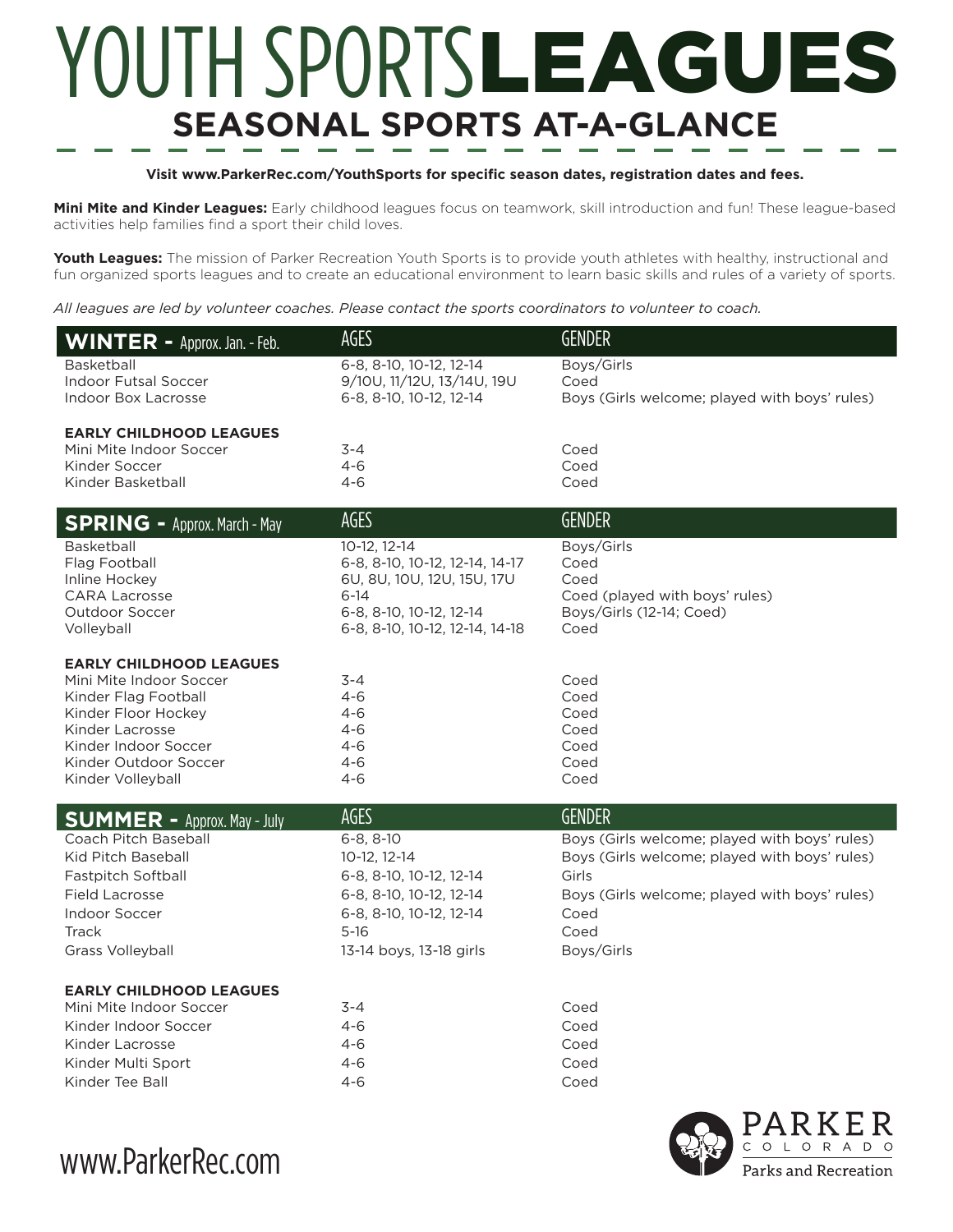## YOUTH SPORTSLEAGUES **SEASONAL SPORTS AT-A-GLANCE**

## **Visit www.ParkerRec.com/YouthSports for specific season dates, registration dates and fees.**

**Mini Mite and Kinder Leagues:** Early childhood leagues focus on teamwork, skill introduction and fun! These league-based activities help families find a sport their child loves.

**Youth Leagues:** The mission of Parker Recreation Youth Sports is to provide youth athletes with healthy, instructional and fun organized sports leagues and to create an educational environment to learn basic skills and rules of a variety of sports.

*All leagues are led by volunteer coaches. Please contact the sports coordinators to volunteer to coach.*

| <b>WINTER - Approx. Jan. - Feb.</b>                | AGES                                                  | <b>GENDER</b>                                         |
|----------------------------------------------------|-------------------------------------------------------|-------------------------------------------------------|
| <b>Basketball</b>                                  | 6-8, 8-10, 10-12, 12-14                               | Boys/Girls                                            |
| <b>Indoor Futsal Soccer</b><br>Indoor Box Lacrosse | 9/10U, 11/12U, 13/14U, 19U<br>6-8, 8-10, 10-12, 12-14 | Coed<br>Boys (Girls welcome; played with boys' rules) |
|                                                    |                                                       |                                                       |
| <b>EARLY CHILDHOOD LEAGUES</b>                     |                                                       |                                                       |
| Mini Mite Indoor Soccer                            | $3 - 4$                                               | Coed                                                  |
| Kinder Soccer<br>Kinder Basketball                 | 4-6<br>4-6                                            | Coed<br>Coed                                          |
|                                                    |                                                       |                                                       |
| <b>SPRING - Approx. March - May</b>                | AGES                                                  | <b>GENDER</b>                                         |
| <b>Basketball</b>                                  | 10-12, 12-14                                          | Boys/Girls                                            |
| Flag Football                                      | 6-8, 8-10, 10-12, 12-14, 14-17                        | Coed<br>Coed                                          |
| Inline Hockey<br><b>CARA Lacrosse</b>              | 6U, 8U, 10U, 12U, 15U, 17U<br>$6 - 14$                | Coed (played with boys' rules)                        |
| Outdoor Soccer                                     | 6-8, 8-10, 10-12, 12-14                               | Boys/Girls (12-14; Coed)                              |
| Volleyball                                         | 6-8, 8-10, 10-12, 12-14, 14-18                        | Coed                                                  |
| <b>EARLY CHILDHOOD LEAGUES</b>                     |                                                       |                                                       |
| Mini Mite Indoor Soccer                            | $3 - 4$                                               | Coed                                                  |
| Kinder Flag Football                               | $4 - 6$                                               | Coed                                                  |
| Kinder Floor Hockey                                | $4 - 6$                                               | Coed                                                  |
| Kinder Lacrosse                                    | $4 - 6$                                               | Coed                                                  |
| Kinder Indoor Soccer                               | $4 - 6$                                               | Coed                                                  |
| Kinder Outdoor Soccer<br>Kinder Volleyball         | $4 - 6$<br>$4 - 6$                                    | Coed<br>Coed                                          |
|                                                    |                                                       |                                                       |
| <b>SUMMER - Approx. May - July</b>                 | AGES                                                  | <b>GENDER</b>                                         |
| Coach Pitch Baseball                               | $6 - 8, 8 - 10$                                       | Boys (Girls welcome; played with boys' rules)         |
| Kid Pitch Baseball                                 | 10-12, 12-14                                          | Boys (Girls welcome; played with boys' rules)         |
| Fastpitch Softball                                 | 6-8, 8-10, 10-12, 12-14                               | Girls                                                 |
| <b>Field Lacrosse</b>                              | 6-8, 8-10, 10-12, 12-14                               | Boys (Girls welcome; played with boys' rules)         |
| <b>Indoor Soccer</b>                               | 6-8, 8-10, 10-12, 12-14                               | Coed                                                  |
| Track                                              | $5 - 16$                                              | Coed                                                  |
| Grass Volleyball                                   | 13-14 boys, 13-18 girls                               | Boys/Girls                                            |
| <b>EARLY CHILDHOOD LEAGUES</b>                     |                                                       |                                                       |
| Mini Mite Indoor Soccer                            | 3-4                                                   | Coed                                                  |
| Kinder Indoor Soccer                               | 4-6                                                   | Coed                                                  |
| Kinder Lacrosse                                    | $4 - 6$                                               | Coed                                                  |
| Kinder Multi Sport                                 | $4 - 6$                                               | Coed                                                  |
| Kinder Tee Ball                                    | $4 - 6$                                               | Coed                                                  |
|                                                    |                                                       |                                                       |

www.ParkerRec.com